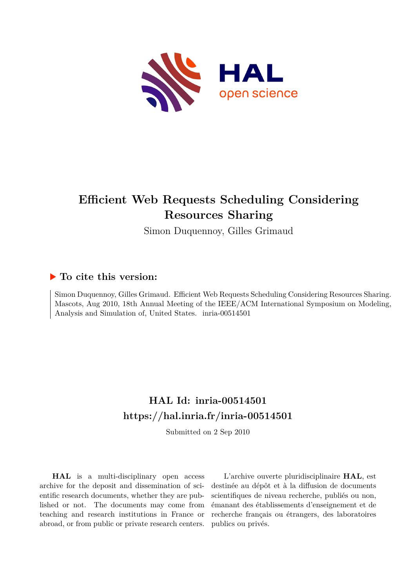

# **Efficient Web Requests Scheduling Considering Resources Sharing**

Simon Duquennoy, Gilles Grimaud

# **To cite this version:**

Simon Duquennoy, Gilles Grimaud. Efficient Web Requests Scheduling Considering Resources Sharing. Mascots, Aug 2010, 18th Annual Meeting of the IEEE/ACM International Symposium on Modeling, Analysis and Simulation of, United States. inria-00514501

# **HAL Id: inria-00514501 <https://hal.inria.fr/inria-00514501>**

Submitted on 2 Sep 2010

**HAL** is a multi-disciplinary open access archive for the deposit and dissemination of scientific research documents, whether they are published or not. The documents may come from teaching and research institutions in France or abroad, or from public or private research centers.

L'archive ouverte pluridisciplinaire **HAL**, est destinée au dépôt et à la diffusion de documents scientifiques de niveau recherche, publiés ou non, émanant des établissements d'enseignement et de recherche français ou étrangers, des laboratoires publics ou privés.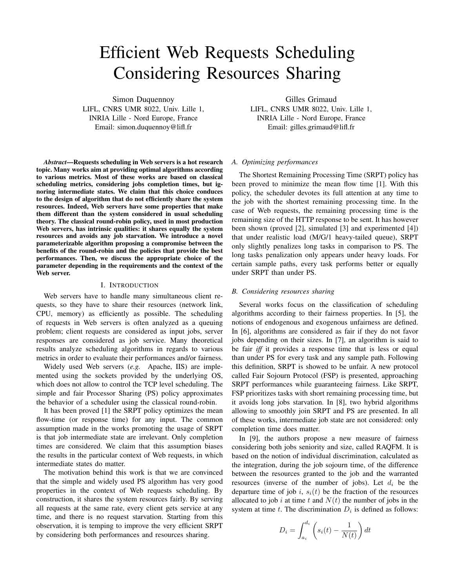# Efficient Web Requests Scheduling Considering Resources Sharing

Simon Duquennoy LIFL, CNRS UMR 8022, Univ. Lille 1, INRIA Lille - Nord Europe, France Email: simon.duquennoy@lifl.fr

*Abstract*—Requests scheduling in Web servers is a hot research topic. Many works aim at providing optimal algorithms according to various metrics. Most of these works are based on classical scheduling metrics, considering jobs completion times, but ignoring intermediate states. We claim that this choice conduces to the design of algorithm that do not efficiently share the system resources. Indeed, Web servers have some properties that make them different than the system considered in usual scheduling theory. The classical round-robin policy, used in most production Web servers, has intrinsic qualities: it shares equally the system resources and avoids any job starvation. We introduce a novel parameterizable algorithm proposing a compromise between the benefits of the round-robin and the policies that provide the best performances. Then, we discuss the appropriate choice of the parameter depending in the requirements and the context of the Web server.

#### I. INTRODUCTION

Web servers have to handle many simultaneous client requests, so they have to share their resources (network link, CPU, memory) as efficiently as possible. The scheduling of requests in Web servers is often analyzed as a queuing problem; client requests are considered as input jobs, server responses are considered as job service. Many theoretical results analyze scheduling algorithms in regards to various metrics in order to evaluate their performances and/or fairness.

Widely used Web servers (*e.g.* Apache, IIS) are implemented using the sockets provided by the underlying OS, which does not allow to control the TCP level scheduling. The simple and fair Processor Sharing (PS) policy approximates the behavior of a scheduler using the classical round-robin.

It has been proved [1] the SRPT policy optimizes the mean flow-time (or response time) for any input. The common assumption made in the works promoting the usage of SRPT is that job intermediate state are irrelevant. Only completion times are considered. We claim that this assumption biases the results in the particular context of Web requests, in which intermediate states do matter.

The motivation behind this work is that we are convinced that the simple and widely used PS algorithm has very good properties in the context of Web requests scheduling. By construction, it shares the system resources fairly. By serving all requests at the same rate, every client gets service at any time, and there is no request starvation. Starting from this observation, it is temping to improve the very efficient SRPT by considering both performances and resources sharing.

Gilles Grimaud LIFL, CNRS UMR 8022, Univ. Lille 1, INRIA Lille - Nord Europe, France Email: gilles.grimaud@lifl.fr

## *A. Optimizing performances*

The Shortest Remaining Processing Time (SRPT) policy has been proved to minimize the mean flow time [1]. With this policy, the scheduler devotes its full attention at any time to the job with the shortest remaining processing time. In the case of Web requests, the remaining processing time is the remaining size of the HTTP response to be sent. It has however been shown (proved [2], simulated [3] and experimented [4]) that under realistic load (M/G/1 heavy-tailed queue), SRPT only slightly penalizes long tasks in comparison to PS. The long tasks penalization only appears under heavy loads. For certain sample paths, every task performs better or equally under SRPT than under PS.

### *B. Considering resources sharing*

Several works focus on the classification of scheduling algorithms according to their fairness properties. In [5], the notions of endogenous and exogenous unfairness are defined. In [6], algorithms are considered as fair if they do not favor jobs depending on their sizes. In [7], an algorithm is said to be fair *iff* it provides a response time that is less or equal than under PS for every task and any sample path. Following this definition, SRPT is showed to be unfair. A new protocol called Fair Sojourn Protocol (FSP) is presented, approaching SRPT performances while guaranteeing fairness. Like SRPT, FSP prioritizes tasks with short remaining processing time, but it avoids long jobs starvation. In [8], two hybrid algorithms allowing to smoothly join SRPT and PS are presented. In all of these works, intermediate job state are not considered: only completion time does matter.

In [9], the authors propose a new measure of fairness considering both jobs seniority and size, called RAQFM. It is based on the notion of individual discrimination, calculated as the integration, during the job sojourn time, of the difference between the resources granted to the job and the warranted resources (inverse of the number of jobs). Let  $d_i$  be the departure time of job i,  $s_i(t)$  be the fraction of the resources allocated to job i at time t and  $N(t)$  the number of jobs in the system at time  $t$ . The discrimination  $D_i$  is defined as follows:

$$
D_i = \int_{a_i}^{d_i} \left( s_i(t) - \frac{1}{N(t)} \right) dt
$$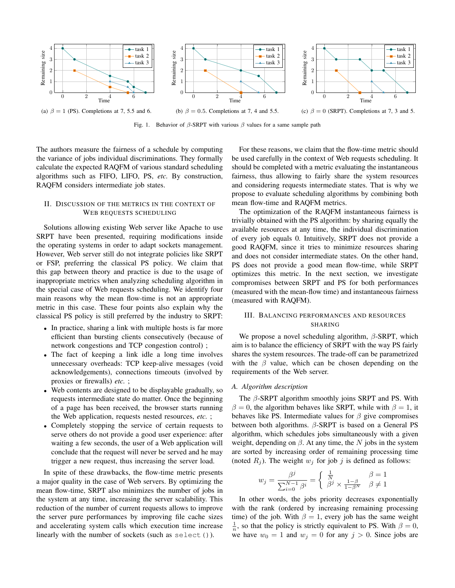

Fig. 1. Behavior of  $\beta$ -SRPT with various  $\beta$  values for a same sample path

The authors measure the fairness of a schedule by computing the variance of jobs individual discriminations. They formally calculate the expected RAQFM of various standard scheduling algorithms such as FIFO, LIFO, PS, *etc.* By construction, RAQFM considers intermediate job states.

# II. DISCUSSION OF THE METRICS IN THE CONTEXT OF WEB REQUESTS SCHEDULING

Solutions allowing existing Web server like Apache to use SRPT have been presented, requiring modifications inside the operating systems in order to adapt sockets management. However, Web server still do not integrate policies like SRPT or FSP, preferring the classical PS policy. We claim that this gap between theory and practice is due to the usage of inappropriate metrics when analyzing scheduling algorithm in the special case of Web requests scheduling. We identify four main reasons why the mean flow-time is not an appropriate metric in this case. These four points also explain why the classical PS policy is still preferred by the industry to SRPT:

- In practice, sharing a link with multiple hosts is far more efficient than bursting clients consecutively (because of network congestions and TCP congestion control) ;
- The fact of keeping a link idle a long time involves unnecessary overheads: TCP keep-alive messages (void acknowledgements), connections timeouts (involved by proxies or firewalls) *etc.* ;
- Web contents are designed to be displayable gradually, so requests intermediate state do matter. Once the beginning of a page has been received, the browser starts running the Web application, requests nested resources, *etc.* ;
- Completely stopping the service of certain requests to serve others do not provide a good user experience: after waiting a few seconds, the user of a Web application will conclude that the request will never be served and he may trigger a new request, thus increasing the server load.

In spite of these drawbacks, the flow-time metric presents a major quality in the case of Web servers. By optimizing the mean flow-time, SRPT also minimizes the number of jobs in the system at any time, increasing the server scalability. This reduction of the number of current requests allows to improve the server pure performances by improving file cache sizes and accelerating system calls which execution time increase linearly with the number of sockets (such as select()).

For these reasons, we claim that the flow-time metric should be used carefully in the context of Web requests scheduling. It should be completed with a metric evaluating the instantaneous fairness, thus allowing to fairly share the system resources and considering requests intermediate states. That is why we propose to evaluate scheduling algorithms by combining both mean flow-time and RAQFM metrics.

The optimization of the RAQFM instantaneous fairness is trivially obtained with the PS algorithm: by sharing equally the available resources at any time, the individual discrimination of every job equals 0. Intuitively, SRPT does not provide a good RAQFM, since it tries to minimize resources sharing and does not consider intermediate states. On the other hand, PS does not provide a good mean flow-time, while SRPT optimizes this metric. In the next section, we investigate compromises between SRPT and PS for both performances (measured with the mean-flow time) and instantaneous fairness (measured with RAQFM).

# III. BALANCING PERFORMANCES AND RESOURCES SHARING

We propose a novel scheduling algorithm,  $\beta$ -SRPT, which aim is to balance the efficiency of SRPT with the way PS fairly shares the system resources. The trade-off can be parametrized with the  $\beta$  value, which can be chosen depending on the requirements of the Web server.

## *A. Algorithm description*

The  $\beta$ -SRPT algorithm smoothly joins SRPT and PS. With  $\beta = 0$ , the algorithm behaves like SRPT, while with  $\beta = 1$ , it behaves like PS. Intermediate values for  $\beta$  give compromises between both algorithms.  $\beta$ -SRPT is based on a General PS algorithm, which schedules jobs simultaneously with a given weight, depending on  $\beta$ . At any time, the N jobs in the system are sorted by increasing order of remaining processing time (noted  $R_i$ ). The weight  $w_i$  for job j is defined as follows:

$$
w_j = \frac{\beta^j}{\sum_{i=0}^{N-1} \beta^i} = \left\{ \begin{array}{ll} \frac{1}{N} & \beta = 1 \\ \beta^j \times \frac{1-\beta}{1-\beta^N} & \beta \neq 1 \end{array} \right.
$$

In other words, the jobs priority decreases exponentially with the rank (ordered by increasing remaining processing time) of the job. With  $\beta = 1$ , every job has the same weight 1  $\frac{1}{n}$ , so that the policy is strictly equivalent to PS. With  $\beta = 0$ , we have  $w_0 = 1$  and  $w_j = 0$  for any  $j > 0$ . Since jobs are